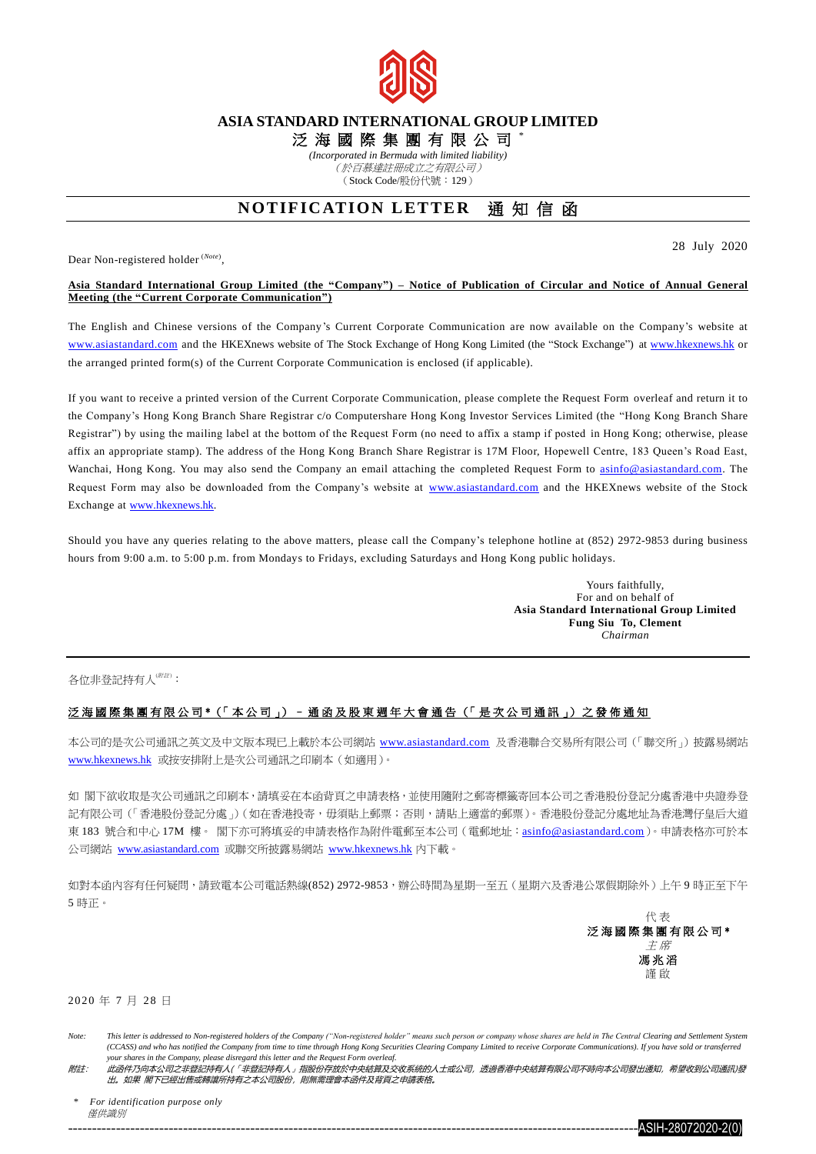

## **ASIA STANDARD INTERNATIONAL GROUP LIMITED**

泛 海 國 際 集 團 有 限 公 司 \*

*(Incorporated in Bermuda with limited liability)*

(於百慕達註冊成立之有限公司) (Stock Code/股份代號:129)

# **NOTIFICATION LETTER** 涌知信函

Dear Non-registered holder (*Note*) ,

28 July 2020

#### **Asia Standard International Group Limited (the "Company") – Notice of Publication of Circular and Notice of Annual General Meeting (the "Current Corporate Communication")**

The English and Chinese versions of the Company's Current Corporate Communication are now available on the Company's website at [www.asiastandard.com](http://www.asiastandard.com/) and the HKEXnews website of The Stock Exchange of Hong Kong Limited (the "Stock Exchange") a[t www.hkexnews.hk](http://www.hkexnews.hk/) or the arranged printed form(s) of the Current Corporate Communication is enclosed (if applicable).

If you want to receive a printed version of the Current Corporate Communication, please complete the Request Form overleaf and return it to the Company's Hong Kong Branch Share Registrar c/o Computershare Hong Kong Investor Services Limited (the "Hong Kong Branch Share Registrar") by using the mailing label at the bottom of the Request Form (no need to affix a stamp if posted in Hong Kong; otherwise, please affix an appropriate stamp). The address of the Hong Kong Branch Share Registrar is 17M Floor, Hopewell Centre, 183 Queen's Road East, Wanchai, Hong Kong. You may also send the Company an email attaching the completed Request Form to [asinfo@asiastandard.com.](mailto:asinfo@asiastandard.com) The Request Form may also be downloaded from the Company's website at [www.asiastandard.com](http://www.asiastandard.com/) and the HKEXnews website of the Stock Exchange at [www.hkexnews.hk.](http://www.hkexnews.hk/)

Should you have any queries relating to the above matters, please call the Company's telephone hotline at (852) 2972-9853 during business hours from 9:00 a.m. to 5:00 p.m. from Mondays to Fridays, excluding Saturdays and Hong Kong public holidays.

> Yours faithfully, For and on behalf of **Asia Standard International Group Limited Fung Siu To, Clement** *Chairman*

各位非登記持有人(###):

## 泛 海 國 際 集 團 有 限 公 司 \*(「 本 公 司 」) – 通 函 及 股 東 週 年 大 會 通 告 (「 是 次 公 司 通 訊 」) 之 發 佈 通 知

本公司的是次公司通訊之英文及中文版本現已上載於本公司網站 [www.asiastandard.com](http://www.asiastandard.com/) 及香港聯合交易所有限公司(「聯交所」)披露易網站 [www.hkexnews.hk](http://www.hkexnews.hk/index_c.htm) 或按安排附上是次公司通訊之印刷本(如適用)。

如 閣下欲收取是次公司通訊之印刷本,請填妥在本函背頁之申請表格,並使用隨附之郵寄標籤寄回本公司之香港股份登記分處香港中央證券登 記有限公司(「香港股份登記分處」)(如在香港投寄,毋須貼上郵票;否則,請貼上適當的郵票)。香港股份登記分處地址為香港灣仔皇后大道 東 183 號合和中心 17M 樓。 閣下亦可將填妥的申請表格作為附件電郵至本公司 (電郵地址: [asinfo@asiastandard.com](http://asinfo@asiastandard.com))。申請表格亦可於本 公司網站 [www.asiastandard.com](http://www.asiastandard.com/) 或聯交所披露易網站 [www.hkexnews.hk](http://www.hkexnews.hk/index_c.htm) 內下載。

如對本函內容有任何疑問,請致電本公司電話熱線(852) 2972-9853,辦公時間為星期一至五(星期六及香港公眾假期除外)上午9 時正至下午 5 時正。

> 代 表 泛海國際集團有限公司\* 主 席 馮 兆 滔 謹 啟

### 2 0 2 0 年 7 月 2 8 日

*\* For identification purpose only* 僅供識別

Note: This letter is addressed to Non-registered holders of the Company ("Non-registered holder" means such person or company whose shares are held in The Central Clearing and Settlement System *(CCASS) and who has notified the Company from time to time through Hong Kong Securities Clearing Company Limited to receive Corporate Communications). If you have sold or transferred your shares in the Company, please disregard this letter and the Request Form overleaf.*

附註: 此函件乃向本公司之非登記持有人(「非登記持有人」指股份存放於中央結算及交收系統的人士或公司,透過香港中央結算有限公司不時向本公司發出通知,希望收到公司通訊)發 出。如果 閣下已經出售或轉讓所持有之本公司股份,則無需理會本函件及背頁之申請表格。